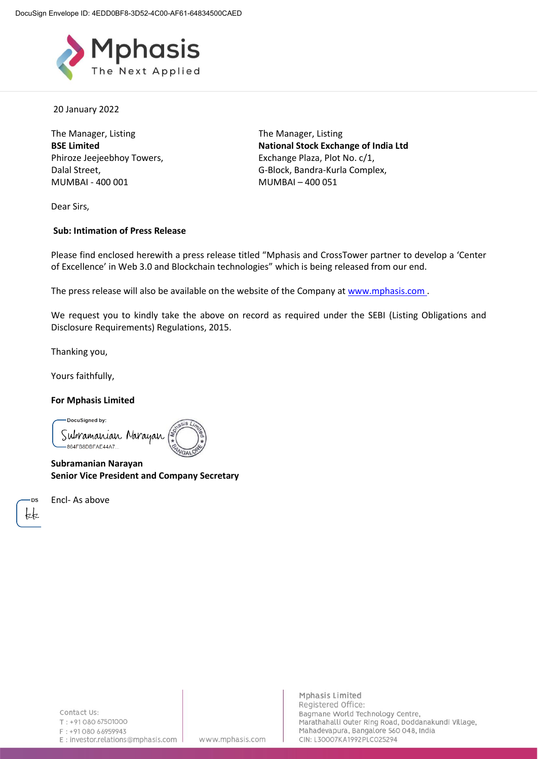

20 January 2022

The Manager, Listing **BSE Limited** Phiroze Jeejeebhoy Towers, Dalal Street, MUMBAI - 400 001

The Manager, Listing **National Stock Exchange of India Ltd** Exchange Plaza, Plot No. c/1, G-Block, Bandra-Kurla Complex, MUMBAI – 400 051

Dear Sirs,

#### **Sub: Intimation of Press Release**

Please find enclosed herewith a press release titled "Mphasis and CrossTower partner to develop a 'Center of Excellence' in Web 3.0 and Blockchain technologies" which is being released from our end.

The press release will also be available on the website of the Company at [www.mphasis.com](http://www.mphasis.com/).

We request you to kindly take the above on record as required under the SEBI (Listing Obligations and Disclosure Requirements) Regulations, 2015.

Thanking you,

Yours faithfully,

#### **For Mphasis Limited**

DocuSigned by: Subramanian Naraya -864FB8DBFAE44A7...

**Subramanian Narayan Senior Vice President and Company Secretary**

Encl- As above

www.mphasis.com

Mphasis Limited Registered Office: Bagmane World Technology Centre, Marathahalli Outer Ring Road, Doddanakundi Village, Mahadevapura, Bangalore 560 048, India CIN: L30007KA1992PLC025294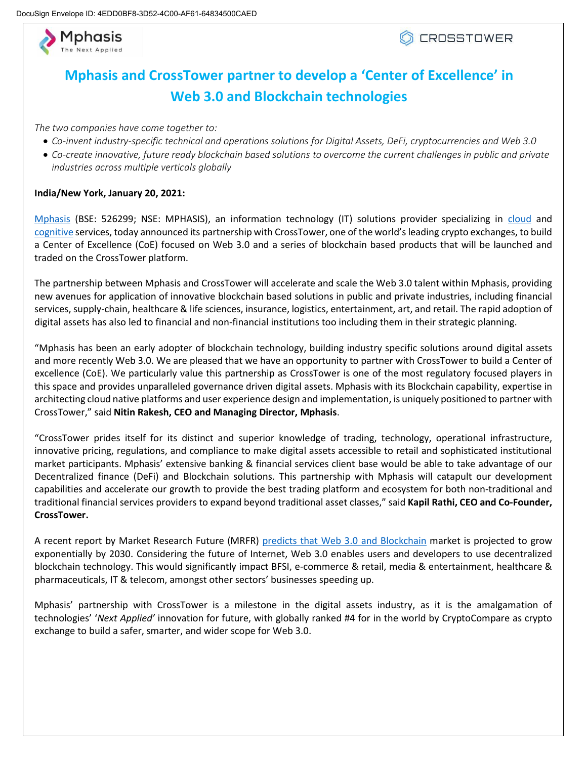

## **Mphasis and CrossTower partner to develop a 'Center of Excellence' in Web 3.0 and Blockchain technologies**

*The two companies have come together to:*

- *Co-invent industry-specific technical and operations solutions for Digital Assets, DeFi, cryptocurrencies and Web 3.0*
- *Co-create innovative, future ready blockchain based solutions to overcome the current challenges in public and private industries across multiple verticals globally*

#### **India/New York, January 20, 2021:**

[Mphasis](https://www.mphasis.com/) (BSE: 526299; NSE: MPHASIS), an information technology (IT) solutions provider specializing in [cloud](https://www.mphasis.com/home/services/digital/innovation/cloud-at-the-heart.html) and [cognitive](https://www.mphasis.com/home/services/cognitive.html) services, today announced its partnership with CrossTower, one of the world's leading crypto exchanges, to build a Center of Excellence (CoE) focused on Web 3.0 and a series of blockchain based products that will be launched and traded on the CrossTower platform.

The partnership between Mphasis and CrossTower will accelerate and scale the Web 3.0 talent within Mphasis, providing new avenues for application of innovative blockchain based solutions in public and private industries, including financial services, supply-chain, healthcare & life sciences, insurance, logistics, entertainment, art, and retail. The rapid adoption of digital assets has also led to financial and non-financial institutions too including them in their strategic planning.

"Mphasis has been an early adopter of blockchain technology, building industry specific solutions around digital assets and more recently Web 3.0. We are pleased that we have an opportunity to partner with CrossTower to build a Center of excellence (CoE). We particularly value this partnership as CrossTower is one of the most regulatory focused players in this space and provides unparalleled governance driven digital assets. Mphasis with its Blockchain capability, expertise in architecting cloud native platforms and user experience design and implementation, is uniquely positioned to partner with CrossTower," said **Nitin Rakesh, CEO and Managing Director, Mphasis**.

"CrossTower prides itself for its distinct and superior knowledge of trading, technology, operational infrastructure, innovative pricing, regulations, and compliance to make digital assets accessible to retail and sophisticated institutional market participants. Mphasis' extensive banking & financial services client base would be able to take advantage of our Decentralized finance (DeFi) and Blockchain solutions. This partnership with Mphasis will catapult our development capabilities and accelerate our growth to provide the best trading platform and ecosystem for both non-traditional and traditional financial services providers to expand beyond traditional asset classes," said **Kapil Rathi, CEO and Co-Founder, CrossTower.** 

A recent report by Market Research Future (MRFR) [predicts that Web 3.0 and Blockchain](https://www.marketresearchfuture.com/reports/web-3-0-blockchain-market-10746) market is projected to grow exponentially by 2030. Considering the future of Internet, Web 3.0 enables users and developers to use decentralized blockchain technology. This would significantly impact BFSI, e-commerce & retail, media & entertainment, healthcare & pharmaceuticals, IT & telecom, amongst other sectors' businesses speeding up.

Mphasis' partnership with CrossTower is a milestone in the digital assets industry, as it is the amalgamation of technologies' '*Next Applied'* innovation for future, with globally ranked #4 for in the world by CryptoCompare as crypto exchange to build a safer, smarter, and wider scope for Web 3.0.